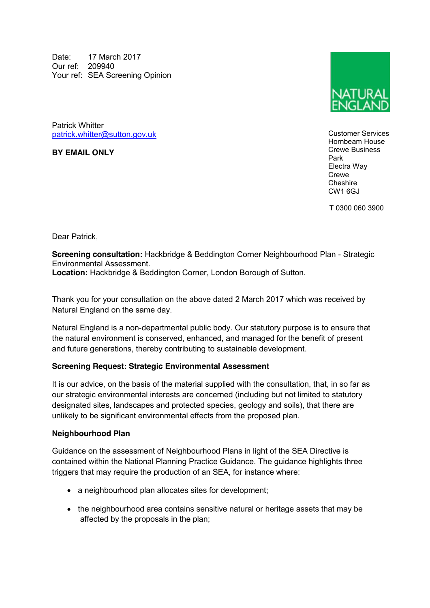Date: 17 March 2017 Our ref: 209940 Your ref: SEA Screening Opinion

Patrick Whitter [patrick.whitter@sutton.gov.uk](mailto:patrick.whitter@sutton.gov.uk)

**BY EMAIL ONLY**



Customer Services Hornbeam House Crewe Business Park Electra Way Crewe **Cheshire** CW1 6GJ

T 0300 060 3900

Dear Patrick,

**Screening consultation:** Hackbridge & Beddington Corner Neighbourhood Plan - Strategic Environmental Assessment.

**Location:** Hackbridge & Beddington Corner, London Borough of Sutton.

Thank you for your consultation on the above dated 2 March 2017 which was received by Natural England on the same day.

Natural England is a non-departmental public body. Our statutory purpose is to ensure that the natural environment is conserved, enhanced, and managed for the benefit of present and future generations, thereby contributing to sustainable development.

## **Screening Request: Strategic Environmental Assessment**

It is our advice, on the basis of the material supplied with the consultation, that, in so far as our strategic environmental interests are concerned (including but not limited to statutory designated sites, landscapes and protected species, geology and soils), that there are unlikely to be significant environmental effects from the proposed plan.

## **Neighbourhood Plan**

Guidance on the assessment of Neighbourhood Plans in light of the SEA Directive is contained within the National Planning Practice Guidance. The guidance highlights three triggers that may require the production of an SEA, for instance where:

- a neighbourhood plan allocates sites for development;
- the neighbourhood area contains sensitive natural or heritage assets that may be affected by the proposals in the plan;